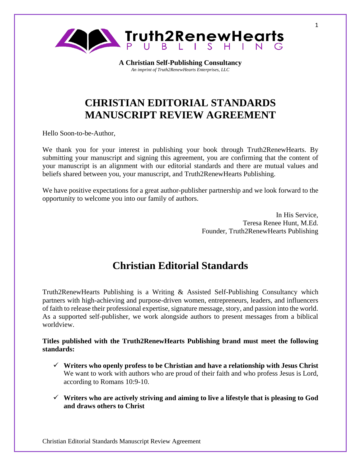

**A Christian Self-Publishing Consultancy** *An imprint of Truth2RenewHearts Enterprises, LLC*

# **CHRISTIAN EDITORIAL STANDARDS MANUSCRIPT REVIEW AGREEMENT**

Hello Soon-to-be-Author,

We thank you for your interest in publishing your book through Truth2RenewHearts. By submitting your manuscript and signing this agreement, you are confirming that the content of your manuscript is an alignment with our editorial standards and there are mutual values and beliefs shared between you, your manuscript, and Truth2RenewHearts Publishing.

We have positive expectations for a great author-publisher partnership and we look forward to the opportunity to welcome you into our family of authors.

> In His Service, Teresa Renee Hunt, M.Ed. Founder, Truth2RenewHearts Publishing

# **Christian Editorial Standards**

Truth2RenewHearts Publishing is a Writing & Assisted Self-Publishing Consultancy which partners with high-achieving and purpose-driven women, entrepreneurs, leaders, and influencers of faith to release their professional expertise, signature message, story, and passion into the world. As a supported self-publisher, we work alongside authors to present messages from a biblical worldview.

## **Titles published with the Truth2RenewHearts Publishing brand must meet the following standards:**

- ✓ **Writers who openly profess to be Christian and have a relationship with Jesus Christ** We want to work with authors who are proud of their faith and who profess Jesus is Lord, according to Romans 10:9-10.
- ✓ **Writers who are actively striving and aiming to live a lifestyle that is pleasing to God and draws others to Christ**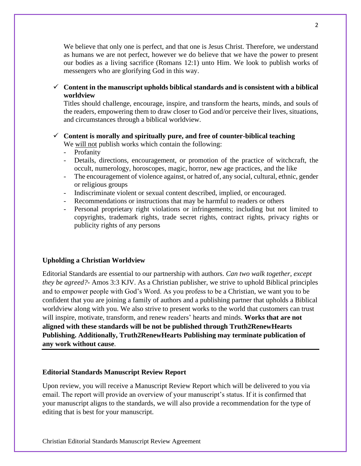We believe that only one is perfect, and that one is Jesus Christ. Therefore, we understand as humans we are not perfect, however we do believe that we have the power to present our bodies as a living sacrifice (Romans 12:1) unto Him. We look to publish works of messengers who are glorifying God in this way.

### ✓ **Content in the manuscript upholds biblical standards and is consistent with a biblical worldview**

Titles should challenge, encourage, inspire, and transform the hearts, minds, and souls of the readers, empowering them to draw closer to God and/or perceive their lives, situations, and circumstances through a biblical worldview.

### ✓ **Content is morally and spiritually pure, and free of counter-biblical teaching**

We will not publish works which contain the following:

- Profanity
- Details, directions, encouragement, or promotion of the practice of witchcraft, the occult, numerology, horoscopes, magic, horror, new age practices, and the like
- The encouragement of violence against, or hatred of, any social, cultural, ethnic, gender or religious groups
- Indiscriminate violent or sexual content described, implied, or encouraged.
- Recommendations or instructions that may be harmful to readers or others
- Personal proprietary right violations or infringements; including but not limited to copyrights, trademark rights, trade secret rights, contract rights, privacy rights or publicity rights of any persons

#### **Upholding a Christian Worldview**

Editorial Standards are essential to our partnership with authors. *Can two walk together, except they be agreed?-* Amos 3:3 KJV. As a Christian publisher, we strive to uphold Biblical principles and to empower people with God's Word. As you profess to be a Christian, we want you to be confident that you are joining a family of authors and a publishing partner that upholds a Biblical worldview along with you. We also strive to present works to the world that customers can trust will inspire, motivate, transform, and renew readers' hearts and minds. **Works that are not aligned with these standards will be not be published through Truth2RenewHearts Publishing. Additionally, Truth2RenewHearts Publishing may terminate publication of any work without cause**.

#### **Editorial Standards Manuscript Review Report**

Upon review, you will receive a Manuscript Review Report which will be delivered to you via email. The report will provide an overview of your manuscript's status. If it is confirmed that your manuscript aligns to the standards, we will also provide a recommendation for the type of editing that is best for your manuscript.